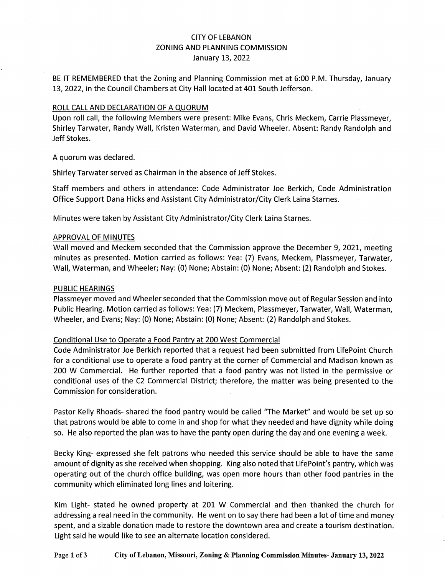## CITY OF LEBANON ZONING AND PLANNING COMMISSION January 13, 2022

BE IT REMEMBERED that the Zoning and Planning Commission met at 6:00 P.M. Thursday, January 13, 2022, in the Council Chambers at City Hall located at 401 South Jefferson.

#### ROLL CALL AND DECLARATION OF A QUORUM

Upon roll call, the following Members were present: Mike Evans, Chris Meckem, Carrie Plassmeyer, Shirley Tarwater, Randy Wall, Kristen Waterman, and David Wheeler. Absent: Randy Randolph and Jeff Stokes.

A quorum was declared.

Shirley Tarwater served as Chairman in the absence of Jeff Stokes.

Staff members and others in attendance: Code Administrator Joe Berkich, Code Administration Office Support Dana Hicks and Assistant City Administrator/City Clerk Laina Starnes.

Minutes were taken by Assistant City Administrator/City Clerk Laina Starnes.

#### APPROVAL OF MINUTES

Wall moved and Meckem seconded that the Commission approve the December 9, 2021, meeting minutes as presented. Motion carried as follows: Yea: (7) Evans, Meckem, Plassmeyer, Tarwater, Wall, Waterman, and Wheeler; Nay: (0) None; Abstain: {0) None; Absent: {2) Randolph and Stokes.

#### PUBLIC HEARINGS

Plassmeyer moved and Wheeler seconded that the Commission move out of Regular Session and into Public Hearing. Motion carried as follows: Yea: (7) Meckem, Plassmeyer, Tarwater, Wall, Waterman, Wheeler, and Evans; Nay: {0) None; Abstain: {0) None; Absent: (2) Randolph and Stokes.

## Conditional Use to Operate a Food Pantry at 200 West Commercial

Code Administrator Joe Berkich reported that a request had been submitted from LifePoint Church for a conditional use to operate a food pantry at the corner of Commercial and Madison known as 200 W Commercial. He further reported that a food pantry was not listed in the permissive or conditional uses of the C2 Commercial District; therefore, the matter was being presented to the Commission for consideration.

Pastor Kelly Rhoads- shared the food pantry would be called "The Market" and would be set up so that patrons would be able to come in and shop for what they needed and have dignity while doing so. He also reported the plan was to have the panty open during the day and one evening a week.

Becky King- expressed she felt patrons who needed this service should be able to have the same amount of dignity as she received when shopping. King also noted that LifePoint's pantry, which was operating out of the church office building, was open more hours than other food pantries in the community which eliminated long lines and loitering.

Kim Light- stated he owned property at 201 W Commercial and then thanked the church for addressing a real need in the community. He went on to say there had been a lot of time and money spent, and a sizable donation made to restore the downtown area and create a tourism destination. Light said he would like to see an alternate location considered.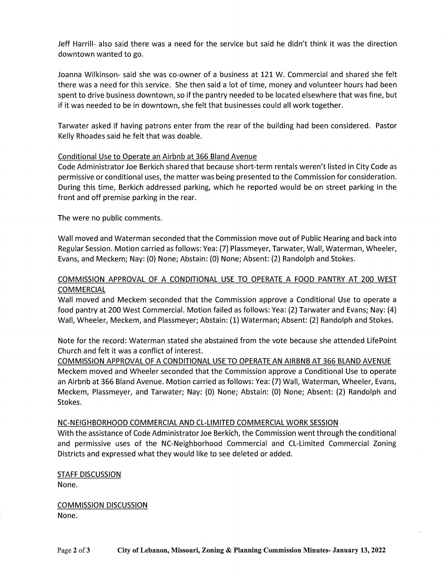Jeff Harrill- also said there was a need for the service but said he didn't think it was the direction downtown wanted to go.

Joanna Wilkinson- said she was co-owner of a business at 121 W. Commercial and shared she felt there was a need for this service. She then said a lot of time, money and volunteer hours had been spent to drive business downtown, so if the pantry needed to be located elsewhere that was fine, but if it was needed to be in downtown, she felt that businesses could all work together.

Tarwater asked if having patrons enter from the rear of the building had been considered. Pastor Kelly Rhoades said he felt that was doable.

## Conditional Use to Operate an Airbnb at 366 Bland Avenue

Code Administrator Joe Berkich shared that because short-term rentals weren't listed in City Code as permissive or conditional uses, the matter was being presented to the Commission for consideration. During this time, Berkich addressed parking, which he reported would be on street parking in the front and off premise parking in the rear.

The were no public comments.

Wall moved and Waterman seconded that the Commission move out of Public Hearing and back into Regular Session. Motion carried as follows: Yea: (7) Plassmeyer, Tarwater, Wall, Waterman, Wheeler, Evans, and Meckem; Nay: (0) None; Abstain: (0) None; Absent: (2) Randolph and Stokes.

# COMMISSION APPROVAL OF A CONDITIONAL USE TO OPERATE A FOOD PANTRY AT 200 WEST **COMMERCIAL**

Wall moved and Meckem seconded that the Commission approve a Conditional Use to operate a food pantry at 200 West Commercial. Motion failed as follows: Vea: (2) Tarwater and Evans; Nay: (4) Wall, Wheeler, Meckem, and Plassmeyer; Abstain: (1) Waterman; Absent: (2) Randolph and Stokes.

Note for the record: Waterman stated she abstained from the vote because she attended LifePoint Church and felt it was a conflict of interest.

COMMISSION APPROVAL OF A CONDITIONAL USE TO OPERATE AN AIRBNB AT 366 BLAND AVENUE Meckem moved and Wheeler seconded that the Commission approve a Conditional Use to operate an Airbnb at 366 Bland Avenue. Motion carried as follows: Vea: (7) Wall, Waterman, Wheeler, Evans, Meckem, Plassmeyer, and Tarwater; Nay: (O) None; Abstain: (O) None; Absent: (2) Randolph and Stokes.

## NC-NEIGHBORHOOD COMMERCIAL AND CL-LIMITED COMMERCIAL WORK SESSION

With the assistance of Code Administrator Joe Berkich, the Commission went through the conditional and permissive uses of the NC-Neighborhood Commercial and CL-Limited Commercial Zoning Districts and expressed what they would like to see deleted or added.

## **STAFF DISCUSSION**

None.

COMMISSION DISCUSSION None.